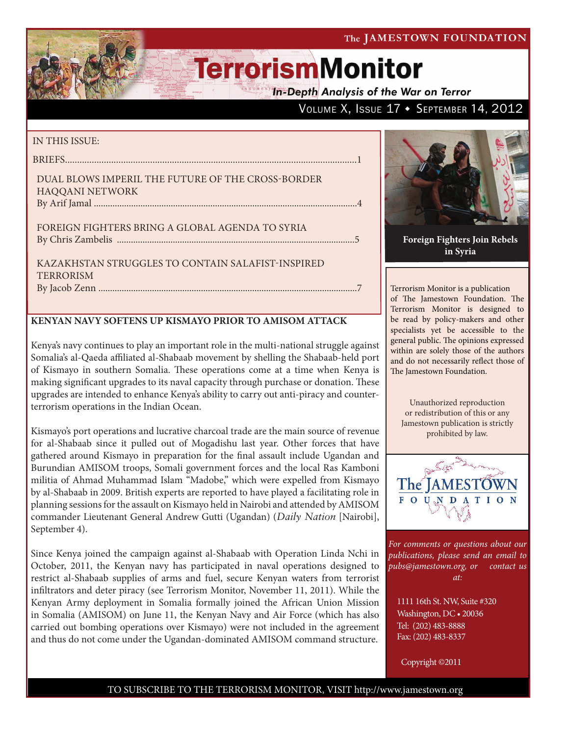VOLUME X, ISSUE 17 + SEPTEMBER 14, 2012

# **TerrorismMonitor**

**In-Depth Analysis of the War on Terror** 

### IN THIS ISSUE:

briefs........................................................................................................................1

### Dual Blows Imperil the Future of the Cross-Border Haqqani Network By Arif Jamal .................................................................................................................4

Foreign Fighters Bring a Global Agenda to Syria by Chris Zambelis ......................................................................................................5

Kazakhstan Struggles to Contain Salafist-Inspired **TERRORISM** By Jacob Zenn ...............................................................................................................7

### **KENYAN NAVY SOFTENS UP KISMAYO PRIOR TO AMISOM ATTACK**

Kenya's navy continues to play an important role in the multi-national struggle against Somalia's al-Qaeda affiliated al-Shabaab movement by shelling the Shabaab-held port of Kismayo in southern Somalia. These operations come at a time when Kenya is making significant upgrades to its naval capacity through purchase or donation. These upgrades are intended to enhance Kenya's ability to carry out anti-piracy and counterterrorism operations in the Indian Ocean.

Kismayo's port operations and lucrative charcoal trade are the main source of revenue for al-Shabaab since it pulled out of Mogadishu last year. Other forces that have gathered around Kismayo in preparation for the final assault include Ugandan and Burundian AMISOM troops, Somali government forces and the local Ras Kamboni militia of Ahmad Muhammad Islam "Madobe," which were expelled from Kismayo by al-Shabaab in 2009. British experts are reported to have played a facilitating role in planning sessions for the assault on Kismayo held in Nairobi and attended by AMISOM commander Lieutenant General Andrew Gutti (Ugandan) (*Daily Nation* [Nairobi], September 4).

Since Kenya joined the campaign against al-Shabaab with Operation Linda Nchi in October, 2011, the Kenyan navy has participated in naval operations designed to restrict al-Shabaab supplies of arms and fuel, secure Kenyan waters from terrorist infiltrators and deter piracy (see Terrorism Monitor, November 11, 2011). While the Kenyan Army deployment in Somalia formally joined the African Union Mission in Somalia (AMISOM) on June 11, the Kenyan Navy and Air Force (which has also carried out bombing operations over Kismayo) were not included in the agreement and thus do not come under the Ugandan-dominated AMISOM command structure.



**Foreign Fighters Join Rebels in Syria** 

Terrorism Monitor is a publication of The Jamestown Foundation. The Terrorism Monitor is designed to be read by policy-makers and other specialists yet be accessible to the general public. The opinions expressed within are solely those of the authors and do not necessarily reflect those of The Jamestown Foundation.

Unauthorized reproduction or redistribution of this or any Jamestown publication is strictly prohibited by law.



*For comments or questions about our publications, please send an email to pubs@jamestown.org, or contact us at:* 

1111 16th St. NW, Suite #320 Washington, DC • 20036 Tel: (202) 483-8888 Fax: (202) 483-8337

Copyright ©2011

### TO SUBSCRIBE TO THE TERRORISM MONITOR, VISIT http://www.jamestown.org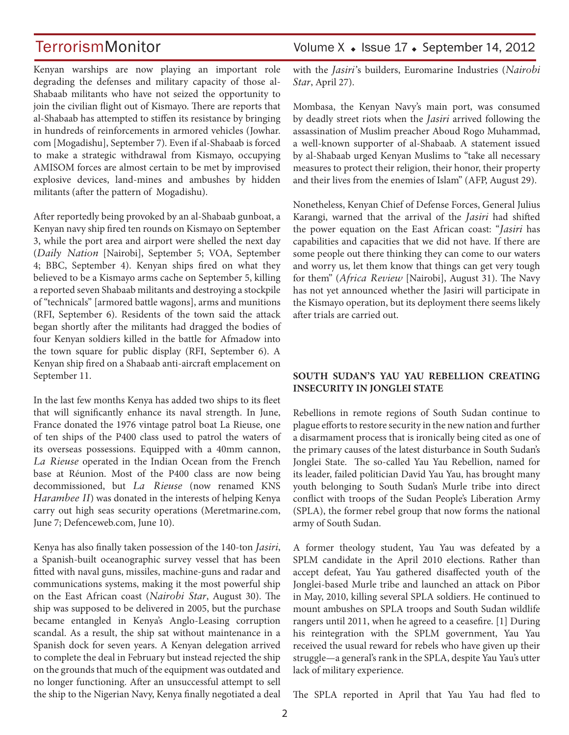Kenyan warships are now playing an important role degrading the defenses and military capacity of those al-Shabaab militants who have not seized the opportunity to join the civilian flight out of Kismayo. There are reports that al-Shabaab has attempted to stiffen its resistance by bringing in hundreds of reinforcements in armored vehicles (Jowhar. com [Mogadishu], September 7). Even if al-Shabaab is forced to make a strategic withdrawal from Kismayo, occupying AMISOM forces are almost certain to be met by improvised explosive devices, land-mines and ambushes by hidden militants (after the pattern of Mogadishu).

After reportedly being provoked by an al-Shabaab gunboat, a Kenyan navy ship fired ten rounds on Kismayo on September 3, while the port area and airport were shelled the next day (*Daily Nation* [Nairobi], September 5; VOA, September 4; BBC, September 4). Kenyan ships fired on what they believed to be a Kismayo arms cache on September 5, killing a reported seven Shabaab militants and destroying a stockpile of "technicals" [armored battle wagons], arms and munitions (RFI, September 6). Residents of the town said the attack began shortly after the militants had dragged the bodies of four Kenyan soldiers killed in the battle for Afmadow into the town square for public display (RFI, September 6). A Kenyan ship fired on a Shabaab anti-aircraft emplacement on September 11.

In the last few months Kenya has added two ships to its fleet that will significantly enhance its naval strength. In June, France donated the 1976 vintage patrol boat La Rieuse, one of ten ships of the P400 class used to patrol the waters of its overseas possessions. Equipped with a 40mm cannon, *La Rieuse* operated in the Indian Ocean from the French base at Réunion. Most of the P400 class are now being decommissioned, but *La Rieuse* (now renamed KNS *Harambee II*) was donated in the interests of helping Kenya carry out high seas security operations (Meretmarine.com, June 7; Defenceweb.com, June 10).

Kenya has also finally taken possession of the 140-ton *Jasiri*, a Spanish-built oceanographic survey vessel that has been fitted with naval guns, missiles, machine-guns and radar and communications systems, making it the most powerful ship on the East African coast (*Nairobi Star*, August 30). The ship was supposed to be delivered in 2005, but the purchase became entangled in Kenya's Anglo-Leasing corruption scandal. As a result, the ship sat without maintenance in a Spanish dock for seven years. A Kenyan delegation arrived to complete the deal in February but instead rejected the ship on the grounds that much of the equipment was outdated and no longer functioning. After an unsuccessful attempt to sell the ship to the Nigerian Navy, Kenya finally negotiated a deal

### TerrorismMonitor Volume X • Issue 17 • September 14, 2012

with the *Jasiri'*s builders, Euromarine Industries (*Nairobi Star*, April 27).

Mombasa, the Kenyan Navy's main port, was consumed by deadly street riots when the *Jasiri* arrived following the assassination of Muslim preacher Aboud Rogo Muhammad, a well-known supporter of al-Shabaab. A statement issued by al-Shabaab urged Kenyan Muslims to "take all necessary measures to protect their religion, their honor, their property and their lives from the enemies of Islam" (AFP, August 29).

Nonetheless, Kenyan Chief of Defense Forces, General Julius Karangi, warned that the arrival of the *Jasiri* had shifted the power equation on the East African coast: "*Jasiri* has capabilities and capacities that we did not have. If there are some people out there thinking they can come to our waters and worry us, let them know that things can get very tough for them" (*Africa Review* [Nairobi], August 31). The Navy has not yet announced whether the Jasiri will participate in the Kismayo operation, but its deployment there seems likely after trials are carried out.

### **SOUTH SUDAN'S YAU YAU REBELLION CREATING INSECURITY IN JONGLEI STATE**

Rebellions in remote regions of South Sudan continue to plague efforts to restore security in the new nation and further a disarmament process that is ironically being cited as one of the primary causes of the latest disturbance in South Sudan's Jonglei State. The so-called Yau Yau Rebellion, named for its leader, failed politician David Yau Yau, has brought many youth belonging to South Sudan's Murle tribe into direct conflict with troops of the Sudan People's Liberation Army (SPLA), the former rebel group that now forms the national army of South Sudan.

A former theology student, Yau Yau was defeated by a SPLM candidate in the April 2010 elections. Rather than accept defeat, Yau Yau gathered disaffected youth of the Jonglei-based Murle tribe and launched an attack on Pibor in May, 2010, killing several SPLA soldiers. He continued to mount ambushes on SPLA troops and South Sudan wildlife rangers until 2011, when he agreed to a ceasefire. [1] During his reintegration with the SPLM government, Yau Yau received the usual reward for rebels who have given up their struggle—a general's rank in the SPLA, despite Yau Yau's utter lack of military experience.

The SPLA reported in April that Yau Yau had fled to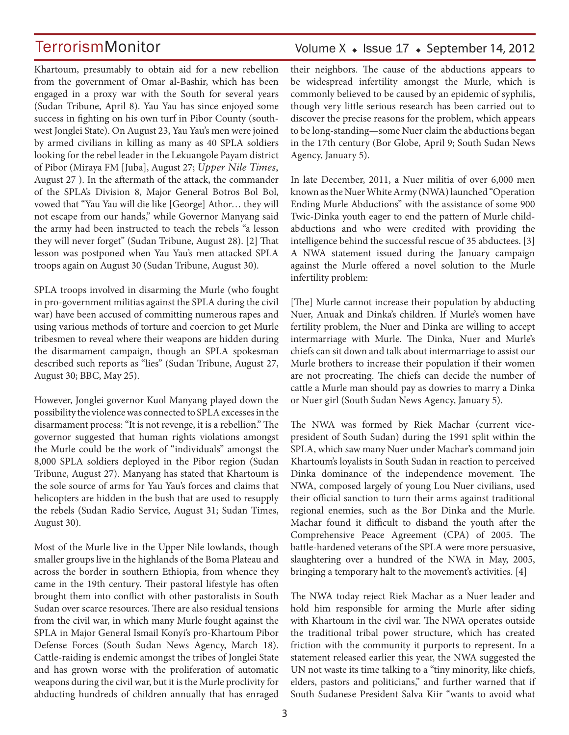Volume  $X \triangleleft$  Issue 17  $\triangleleft$  September 14, 2012

Khartoum, presumably to obtain aid for a new rebellion from the government of Omar al-Bashir, which has been engaged in a proxy war with the South for several years (Sudan Tribune, April 8). Yau Yau has since enjoyed some success in fighting on his own turf in Pibor County (southwest Jonglei State). On August 23, Yau Yau's men were joined by armed civilians in killing as many as 40 SPLA soldiers looking for the rebel leader in the Lekuangole Payam district of Pibor (Miraya FM [Juba], August 27; *Upper Nile Times,* August 27 ). In the aftermath of the attack, the commander of the SPLA's Division 8, Major General Botros Bol Bol, vowed that "Yau Yau will die like [George] Athor… they will not escape from our hands," while Governor Manyang said the army had been instructed to teach the rebels "a lesson they will never forget" (Sudan Tribune, August 28). [2] That lesson was postponed when Yau Yau's men attacked SPLA troops again on August 30 (Sudan Tribune, August 30).

SPLA troops involved in disarming the Murle (who fought in pro-government militias against the SPLA during the civil war) have been accused of committing numerous rapes and using various methods of torture and coercion to get Murle tribesmen to reveal where their weapons are hidden during the disarmament campaign, though an SPLA spokesman described such reports as "lies" (Sudan Tribune, August 27, August 30; BBC, May 25).

However, Jonglei governor Kuol Manyang played down the possibility the violence was connected to SPLA excesses in the disarmament process: "It is not revenge, it is a rebellion." The governor suggested that human rights violations amongst the Murle could be the work of "individuals" amongst the 8,000 SPLA soldiers deployed in the Pibor region (Sudan Tribune, August 27). Manyang has stated that Khartoum is the sole source of arms for Yau Yau's forces and claims that helicopters are hidden in the bush that are used to resupply the rebels (Sudan Radio Service, August 31; Sudan Times, August 30).

Most of the Murle live in the Upper Nile lowlands, though smaller groups live in the highlands of the Boma Plateau and across the border in southern Ethiopia, from whence they came in the 19th century. Their pastoral lifestyle has often brought them into conflict with other pastoralists in South Sudan over scarce resources. There are also residual tensions from the civil war, in which many Murle fought against the SPLA in Major General Ismail Konyi's pro-Khartoum Pibor Defense Forces (South Sudan News Agency, March 18). Cattle-raiding is endemic amongst the tribes of Jonglei State and has grown worse with the proliferation of automatic weapons during the civil war, but it is the Murle proclivity for abducting hundreds of children annually that has enraged their neighbors. The cause of the abductions appears to be widespread infertility amongst the Murle, which is commonly believed to be caused by an epidemic of syphilis, though very little serious research has been carried out to discover the precise reasons for the problem, which appears to be long-standing—some Nuer claim the abductions began in the 17th century (Bor Globe, April 9; South Sudan News Agency, January 5).

In late December, 2011, a Nuer militia of over 6,000 men known as the Nuer White Army (NWA) launched "Operation Ending Murle Abductions" with the assistance of some 900 Twic-Dinka youth eager to end the pattern of Murle childabductions and who were credited with providing the intelligence behind the successful rescue of 35 abductees. [3] A NWA statement issued during the January campaign against the Murle offered a novel solution to the Murle infertility problem:

[The] Murle cannot increase their population by abducting Nuer, Anuak and Dinka's children. If Murle's women have fertility problem, the Nuer and Dinka are willing to accept intermarriage with Murle. The Dinka, Nuer and Murle's chiefs can sit down and talk about intermarriage to assist our Murle brothers to increase their population if their women are not procreating. The chiefs can decide the number of cattle a Murle man should pay as dowries to marry a Dinka or Nuer girl (South Sudan News Agency, January 5).

The NWA was formed by Riek Machar (current vicepresident of South Sudan) during the 1991 split within the SPLA, which saw many Nuer under Machar's command join Khartoum's loyalists in South Sudan in reaction to perceived Dinka dominance of the independence movement. The NWA, composed largely of young Lou Nuer civilians, used their official sanction to turn their arms against traditional regional enemies, such as the Bor Dinka and the Murle. Machar found it difficult to disband the youth after the Comprehensive Peace Agreement (CPA) of 2005. The battle-hardened veterans of the SPLA were more persuasive, slaughtering over a hundred of the NWA in May, 2005, bringing a temporary halt to the movement's activities. [4]

The NWA today reject Riek Machar as a Nuer leader and hold him responsible for arming the Murle after siding with Khartoum in the civil war. The NWA operates outside the traditional tribal power structure, which has created friction with the community it purports to represent. In a statement released earlier this year, the NWA suggested the UN not waste its time talking to a "tiny minority, like chiefs, elders, pastors and politicians," and further warned that if South Sudanese President Salva Kiir "wants to avoid what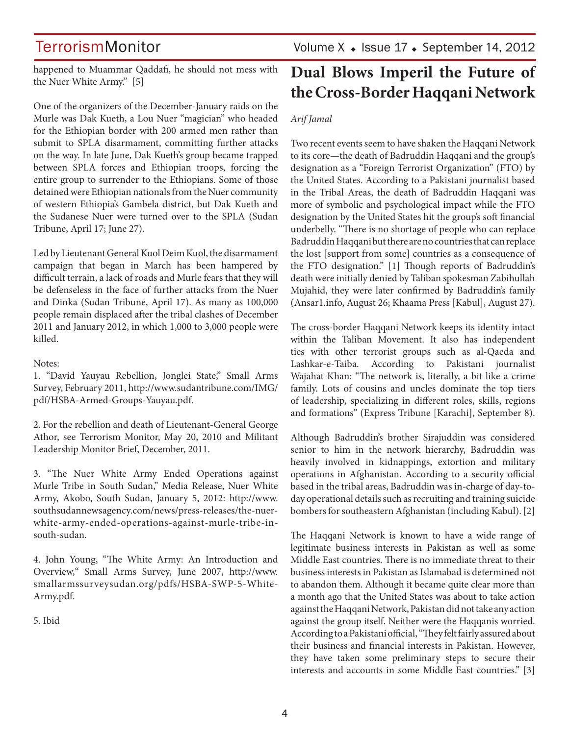happened to Muammar Qaddafi, he should not mess with the Nuer White Army." [5]

One of the organizers of the December-January raids on the Murle was Dak Kueth, a Lou Nuer "magician" who headed for the Ethiopian border with 200 armed men rather than submit to SPLA disarmament, committing further attacks on the way. In late June, Dak Kueth's group became trapped between SPLA forces and Ethiopian troops, forcing the entire group to surrender to the Ethiopians. Some of those detained were Ethiopian nationals from the Nuer community of western Ethiopia's Gambela district, but Dak Kueth and the Sudanese Nuer were turned over to the SPLA (Sudan Tribune, April 17; June 27).

Led by Lieutenant General Kuol Deim Kuol, the disarmament campaign that began in March has been hampered by difficult terrain, a lack of roads and Murle fears that they will be defenseless in the face of further attacks from the Nuer and Dinka (Sudan Tribune, April 17). As many as 100,000 people remain displaced after the tribal clashes of December 2011 and January 2012, in which 1,000 to 3,000 people were killed.

#### Notes:

1. "David Yauyau Rebellion, Jonglei State," Small Arms Survey, February 2011, http://www.sudantribune.com/IMG/ pdf/HSBA-Armed-Groups-Yauyau.pdf.

2. For the rebellion and death of Lieutenant-General George Athor, see Terrorism Monitor, May 20, 2010 and Militant Leadership Monitor Brief, December, 2011.

3. "The Nuer White Army Ended Operations against Murle Tribe in South Sudan," Media Release, Nuer White Army, Akobo, South Sudan, January 5, 2012: http://www. southsudannewsagency.com/news/press-releases/the-nuerwhite-army-ended-operations-against-murle-tribe-insouth-sudan.

4. John Young, "The White Army: An Introduction and Overview," Small Arms Survey, June 2007, http://www. smallarmssurveysudan.org/pdfs/HSBA-SWP-5-White-Army.pdf.

5. Ibid

## **Dual Blows Imperil the Future of the Cross-Border Haqqani Network**

### *Arif Jamal*

Two recent events seem to have shaken the Haqqani Network to its core—the death of Badruddin Haqqani and the group's designation as a "Foreign Terrorist Organization" (FTO) by the United States. According to a Pakistani journalist based in the Tribal Areas, the death of Badruddin Haqqani was more of symbolic and psychological impact while the FTO designation by the United States hit the group's soft financial underbelly. "There is no shortage of people who can replace Badruddin Haqqani but there are no countries that can replace the lost [support from some] countries as a consequence of the FTO designation." [1] Though reports of Badruddin's death were initially denied by Taliban spokesman Zabihullah Mujahid, they were later confirmed by Badruddin's family (Ansar1.info, August 26; Khaama Press [Kabul], August 27).

The cross-border Haqqani Network keeps its identity intact within the Taliban Movement. It also has independent ties with other terrorist groups such as al-Qaeda and Lashkar-e-Taiba. According to Pakistani journalist Wajahat Khan: "The network is, literally, a bit like a crime family. Lots of cousins and uncles dominate the top tiers of leadership, specializing in different roles, skills, regions and formations" (Express Tribune [Karachi], September 8).

Although Badruddin's brother Sirajuddin was considered senior to him in the network hierarchy, Badruddin was heavily involved in kidnappings, extortion and military operations in Afghanistan. According to a security official based in the tribal areas, Badruddin was in-charge of day-today operational details such as recruiting and training suicide bombers for southeastern Afghanistan (including Kabul). [2]

The Haqqani Network is known to have a wide range of legitimate business interests in Pakistan as well as some Middle East countries. There is no immediate threat to their business interests in Pakistan as Islamabad is determined not to abandon them. Although it became quite clear more than a month ago that the United States was about to take action against the Haqqani Network, Pakistan did not take any action against the group itself. Neither were the Haqqanis worried. According to a Pakistani official, "They felt fairly assured about their business and financial interests in Pakistan. However, they have taken some preliminary steps to secure their interests and accounts in some Middle East countries." [3]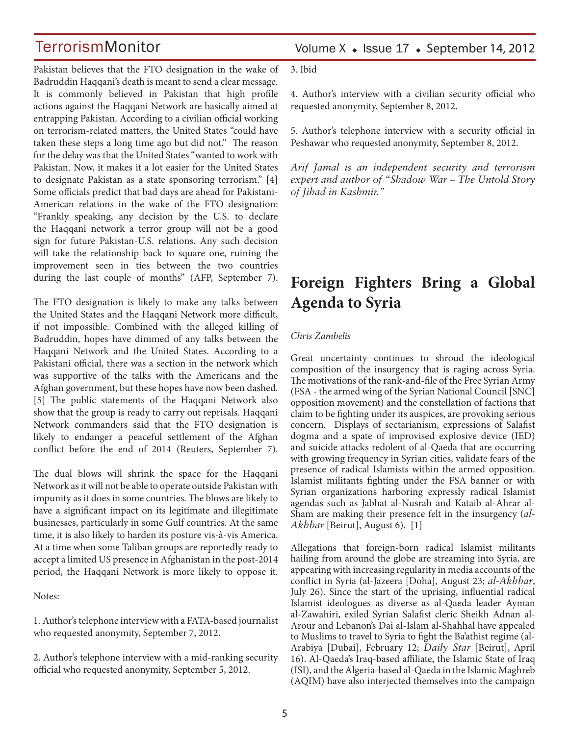Pakistan believes that the FTO designation in the wake of Badruddin Haqqani's death is meant to send a clear message. It is commonly believed in Pakistan that high profile actions against the Haqqani Network are basically aimed at entrapping Pakistan. According to a civilian official working on terrorism-related matters, the United States "could have taken these steps a long time ago but did not." The reason for the delay was that the United States "wanted to work with Pakistan. Now, it makes it a lot easier for the United States to designate Pakistan as a state sponsoring terrorism." [4] Some officials predict that bad days are ahead for Pakistani-American relations in the wake of the FTO designation: "Frankly speaking, any decision by the U.S. to declare the Haqqani network a terror group will not be a good sign for future Pakistan-U.S. relations. Any such decision will take the relationship back to square one, ruining the improvement seen in ties between the two countries during the last couple of months" (AFP, September 7).

The FTO designation is likely to make any talks between the United States and the Haqqani Network more difficult, if not impossible. Combined with the alleged killing of Badruddin, hopes have dimmed of any talks between the Haqqani Network and the United States. According to a Pakistani official, there was a section in the network which was supportive of the talks with the Americans and the Afghan government, but these hopes have now been dashed. [5] The public statements of the Haqqani Network also show that the group is ready to carry out reprisals. Haqqani Network commanders said that the FTO designation is likely to endanger a peaceful settlement of the Afghan conflict before the end of 2014 (Reuters, September 7).

The dual blows will shrink the space for the Haqqani Network as it will not be able to operate outside Pakistan with impunity as it does in some countries. The blows are likely to have a significant impact on its legitimate and illegitimate businesses, particularly in some Gulf countries. At the same time, it is also likely to harden its posture vis-à-vis America. At a time when some Taliban groups are reportedly ready to accept a limited US presence in Afghanistan in the post-2014 period, the Haqqani Network is more likely to oppose it.

Notes:

1. Author's telephone interview with a FATA-based journalist who requested anonymity, September 7, 2012.

2. Author's telephone interview with a mid-ranking security official who requested anonymity, September 5, 2012.

Volume  $X \triangleleft$  Issue 17  $\triangleleft$  September 14, 2012

3. Ibid

4. Author's interview with a civilian security official who requested anonymity, September 8, 2012.

5. Author's telephone interview with a security official in Peshawar who requested anonymity, September 8, 2012.

*Arif Jamal is an independent security and terrorism expert and author of "Shadow War – The Untold Story of Jihad in Kashmir."*

## **Foreign Fighters Bring a Global Agenda to Syria**

#### *Chris Zambelis*

Great uncertainty continues to shroud the ideological composition of the insurgency that is raging across Syria. The motivations of the rank-and-file of the Free Syrian Army (FSA - the armed wing of the Syrian National Council [SNC] opposition movement) and the constellation of factions that claim to be fighting under its auspices, are provoking serious concern. Displays of sectarianism, expressions of Salafist dogma and a spate of improvised explosive device (IED) and suicide attacks redolent of al-Qaeda that are occurring with growing frequency in Syrian cities, validate fears of the presence of radical Islamists within the armed opposition. Islamist militants fighting under the FSA banner or with Syrian organizations harboring expressly radical Islamist agendas such as Jabhat al-Nusrah and Kataib al-Ahrar al-Sham are making their presence felt in the insurgency (*al-Akhbar* [Beirut], August 6). [1]

Allegations that foreign-born radical Islamist militants hailing from around the globe are streaming into Syria, are appearing with increasing regularity in media accounts of the conflict in Syria (al-Jazeera [Doha], August 23; *al-Akhbar*, July 26). Since the start of the uprising, influential radical Islamist ideologues as diverse as al-Qaeda leader Ayman al-Zawahiri, exiled Syrian Salafist cleric Sheikh Adnan al-Arour and Lebanon's Dai al-Islam al-Shahhal have appealed to Muslims to travel to Syria to fight the Ba'athist regime (al-Arabiya [Dubai], February 12; *Daily Star* [Beirut], April 16). Al-Qaeda's Iraq-based affiliate, the Islamic State of Iraq (ISI), and the Algeria-based al-Qaeda in the Islamic Maghreb (AQIM) have also interjected themselves into the campaign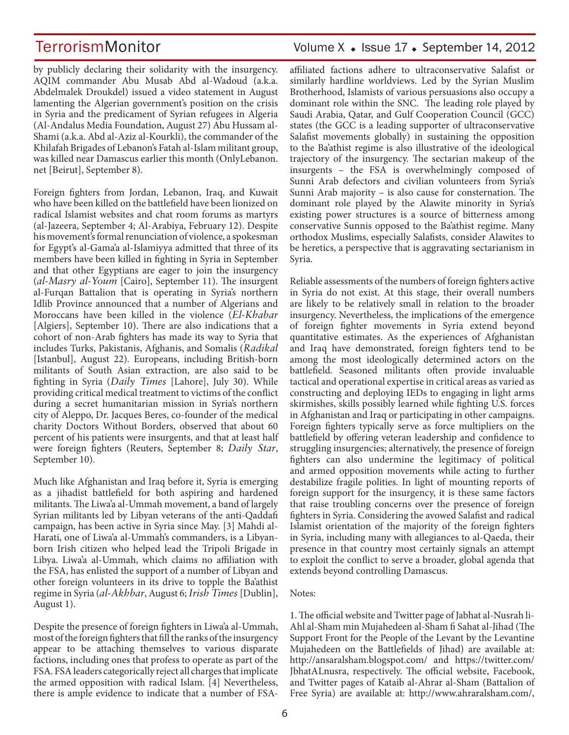by publicly declaring their solidarity with the insurgency. AQIM commander Abu Musab Abd al-Wadoud (a.k.a. Abdelmalek Droukdel) issued a video statement in August lamenting the Algerian government's position on the crisis in Syria and the predicament of Syrian refugees in Algeria (Al-Andalus Media Foundation, August 27) Abu Hussam al-Shami (a.k.a. Abd al-Aziz al-Kourkli), the commander of the Khilafah Brigades of Lebanon's Fatah al-Islam militant group, was killed near Damascus earlier this month (OnlyLebanon. net [Beirut], September 8).

Foreign fighters from Jordan, Lebanon, Iraq, and Kuwait who have been killed on the battlefield have been lionized on radical Islamist websites and chat room forums as martyrs (al-Jazeera, September 4; Al-Arabiya, February 12). Despite his movement's formal renunciation of violence, a spokesman for Egypt's al-Gama'a al-Islamiyya admitted that three of its members have been killed in fighting in Syria in September and that other Egyptians are eager to join the insurgency (*al-Masry al-Youm* [Cairo], September 11). The insurgent al-Furqan Battalion that is operating in Syria's northern Idlib Province announced that a number of Algerians and Moroccans have been killed in the violence (*El-Khabar*  [Algiers], September 10). There are also indications that a cohort of non-Arab fighters has made its way to Syria that includes Turks, Pakistanis, Afghanis, and Somalis (*Radikal*  [Istanbul], August 22). Europeans, including British-born militants of South Asian extraction, are also said to be fighting in Syria (*Daily Times* [Lahore], July 30). While providing critical medical treatment to victims of the conflict during a secret humanitarian mission in Syria's northern city of Aleppo, Dr. Jacques Beres, co-founder of the medical charity Doctors Without Borders, observed that about 60 percent of his patients were insurgents, and that at least half were foreign fighters (Reuters, September 8; *Daily Star*, September 10).

Much like Afghanistan and Iraq before it, Syria is emerging as a jihadist battlefield for both aspiring and hardened militants. The Liwa'a al-Ummah movement, a band of largely Syrian militants led by Libyan veterans of the anti-Qaddafi campaign, has been active in Syria since May. [3] Mahdi al-Harati, one of Liwa'a al-Ummah's commanders, is a Libyanborn Irish citizen who helped lead the Tripoli Brigade in Libya. Liwa'a al-Ummah, which claims no affiliation with the FSA, has enlisted the support of a number of Libyan and other foreign volunteers in its drive to topple the Ba'athist regime in Syria (*al-Akhbar*, August 6; *Irish Times* [Dublin], August 1).

Despite the presence of foreign fighters in Liwa'a al-Ummah, most of the foreign fighters that fill the ranks of the insurgency appear to be attaching themselves to various disparate factions, including ones that profess to operate as part of the FSA. FSA leaders categorically reject all charges that implicate the armed opposition with radical Islam. [4] Nevertheless, there is ample evidence to indicate that a number of FSA-

### TerrorismMonitor Volume X + Issue 17 + September 14, 2012

affiliated factions adhere to ultraconservative Salafist or similarly hardline worldviews. Led by the Syrian Muslim Brotherhood, Islamists of various persuasions also occupy a dominant role within the SNC. The leading role played by Saudi Arabia, Qatar, and Gulf Cooperation Council (GCC) states (the GCC is a leading supporter of ultraconservative Salafist movements globally) in sustaining the opposition to the Ba'athist regime is also illustrative of the ideological trajectory of the insurgency. The sectarian makeup of the insurgents – the FSA is overwhelmingly composed of Sunni Arab defectors and civilian volunteers from Syria's Sunni Arab majority – is also cause for consternation. The dominant role played by the Alawite minority in Syria's existing power structures is a source of bitterness among conservative Sunnis opposed to the Ba'athist regime. Many orthodox Muslims, especially Salafists, consider Alawites to be heretics, a perspective that is aggravating sectarianism in Syria.

Reliable assessments of the numbers of foreign fighters active in Syria do not exist. At this stage, their overall numbers are likely to be relatively small in relation to the broader insurgency. Nevertheless, the implications of the emergence of foreign fighter movements in Syria extend beyond quantitative estimates. As the experiences of Afghanistan and Iraq have demonstrated, foreign fighters tend to be among the most ideologically determined actors on the battlefield. Seasoned militants often provide invaluable tactical and operational expertise in critical areas as varied as constructing and deploying IEDs to engaging in light arms skirmishes, skills possibly learned while fighting U.S. forces in Afghanistan and Iraq or participating in other campaigns. Foreign fighters typically serve as force multipliers on the battlefield by offering veteran leadership and confidence to struggling insurgencies; alternatively, the presence of foreign fighters can also undermine the legitimacy of political and armed opposition movements while acting to further destabilize fragile polities. In light of mounting reports of foreign support for the insurgency, it is these same factors that raise troubling concerns over the presence of foreign fighters in Syria. Considering the avowed Salafist and radical Islamist orientation of the majority of the foreign fighters in Syria, including many with allegiances to al-Qaeda, their presence in that country most certainly signals an attempt to exploit the conflict to serve a broader, global agenda that extends beyond controlling Damascus.

#### Notes:

1. The official website and Twitter page of Jabhat al-Nusrah li-Ahl al-Sham min Mujahedeen al-Sham fi Sahat al-Jihad (The Support Front for the People of the Levant by the Levantine Mujahedeen on the Battlefields of Jihad) are available at: http://ansaralsham.blogspot.com/ and https://twitter.com/ JbhatALnusra, respectively. The official website, Facebook, and Twitter pages of Kataib al-Ahrar al-Sham (Battalion of Free Syria) are available at: http://www.ahraralsham.com/,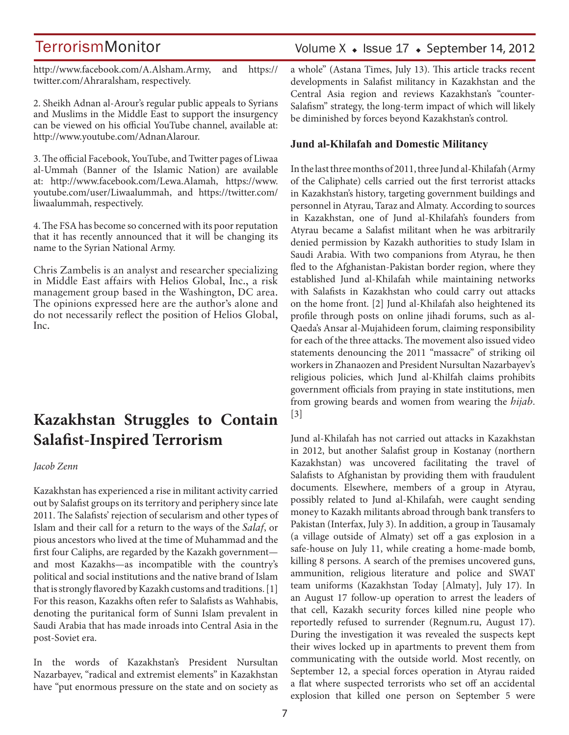http://www.facebook.com/A.Alsham.Army, and https:// twitter.com/Ahraralsham, respectively.

2. Sheikh Adnan al-Arour's regular public appeals to Syrians and Muslims in the Middle East to support the insurgency can be viewed on his official YouTube channel, available at: http://www.youtube.com/AdnanAlarour.

3. The official Facebook, YouTube, and Twitter pages of Liwaa al-Ummah (Banner of the Islamic Nation) are available at: http://www.facebook.com/Lewa.Alamah, https://www. youtube.com/user/Liwaalummah, and https://twitter.com/ liwaalummah, respectively.

4. The FSA has become so concerned with its poor reputation that it has recently announced that it will be changing its name to the Syrian National Army.

Chris Zambelis is an analyst and researcher specializing in Middle East affairs with Helios Global, Inc., a risk management group based in the Washington, DC area. The opinions expressed here are the author's alone and do not necessarily reflect the position of Helios Global, Inc.

## **Kazakhstan Struggles to Contain Salafist-Inspired Terrorism**

#### *Jacob Zenn*

Kazakhstan has experienced a rise in militant activity carried out by Salafist groups on its territory and periphery since late 2011. The Salafists' rejection of secularism and other types of Islam and their call for a return to the ways of the *Salaf*, or pious ancestors who lived at the time of Muhammad and the first four Caliphs, are regarded by the Kazakh government and most Kazakhs—as incompatible with the country's political and social institutions and the native brand of Islam that is strongly flavored by Kazakh customs and traditions. [1] For this reason, Kazakhs often refer to Salafists as Wahhabis, denoting the puritanical form of Sunni Islam prevalent in Saudi Arabia that has made inroads into Central Asia in the post-Soviet era.

In the words of Kazakhstan's President Nursultan Nazarbayev, "radical and extremist elements" in Kazakhstan have "put enormous pressure on the state and on society as

### Volume  $X \triangleleft$  Issue 17  $\triangleleft$  September 14, 2012

a whole" (Astana Times, July 13). This article tracks recent developments in Salafist militancy in Kazakhstan and the Central Asia region and reviews Kazakhstan's "counter-Salafism" strategy, the long-term impact of which will likely be diminished by forces beyond Kazakhstan's control.

### **Jund al-Khilafah and Domestic Militancy**

In the last three months of 2011, three Jund al-Khilafah (Army of the Caliphate) cells carried out the first terrorist attacks in Kazakhstan's history, targeting government buildings and personnel in Atyrau, Taraz and Almaty. According to sources in Kazakhstan, one of Jund al-Khilafah's founders from Atyrau became a Salafist militant when he was arbitrarily denied permission by Kazakh authorities to study Islam in Saudi Arabia. With two companions from Atyrau, he then fled to the Afghanistan-Pakistan border region, where they established Jund al-Khilafah while maintaining networks with Salafists in Kazakhstan who could carry out attacks on the home front. [2] Jund al-Khilafah also heightened its profile through posts on online jihadi forums, such as al-Qaeda's Ansar al-Mujahideen forum, claiming responsibility for each of the three attacks. The movement also issued video statements denouncing the 2011 "massacre" of striking oil workers in Zhanaozen and President Nursultan Nazarbayev's religious policies, which Jund al-Khilfah claims prohibits government officials from praying in state institutions, men from growing beards and women from wearing the *hijab*. [3]

Jund al-Khilafah has not carried out attacks in Kazakhstan in 2012, but another Salafist group in Kostanay (northern Kazakhstan) was uncovered facilitating the travel of Salafists to Afghanistan by providing them with fraudulent documents. Elsewhere, members of a group in Atyrau, possibly related to Jund al-Khilafah, were caught sending money to Kazakh militants abroad through bank transfers to Pakistan (Interfax, July 3). In addition, a group in Tausamaly (a village outside of Almaty) set off a gas explosion in a safe-house on July 11, while creating a home-made bomb, killing 8 persons. A search of the premises uncovered guns, ammunition, religious literature and police and SWAT team uniforms (Kazakhstan Today [Almaty], July 17). In an August 17 follow-up operation to arrest the leaders of that cell, Kazakh security forces killed nine people who reportedly refused to surrender (Regnum.ru, August 17). During the investigation it was revealed the suspects kept their wives locked up in apartments to prevent them from communicating with the outside world. Most recently, on September 12, a special forces operation in Atyrau raided a flat where suspected terrorists who set off an accidental explosion that killed one person on September 5 were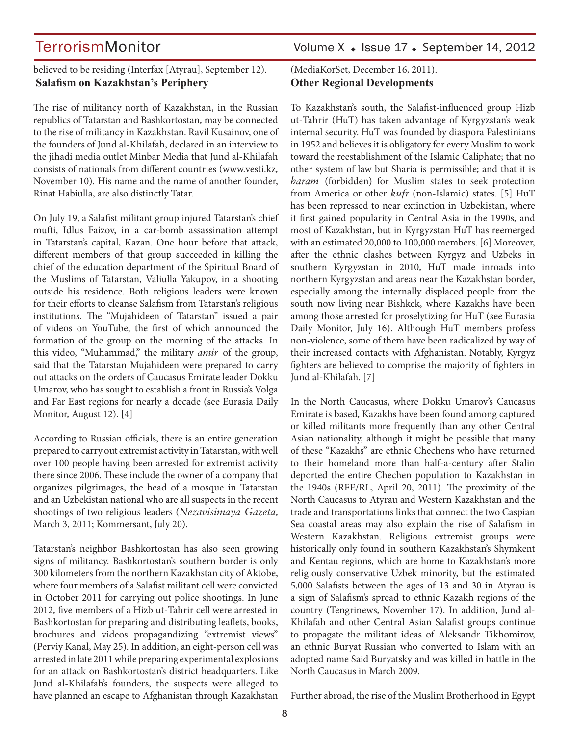### believed to be residing (Interfax [Atyrau], September 12). **Salafism on Kazakhstan's Periphery**

The rise of militancy north of Kazakhstan, in the Russian republics of Tatarstan and Bashkortostan, may be connected to the rise of militancy in Kazakhstan. Ravil Kusainov, one of the founders of Jund al-Khilafah, declared in an interview to the jihadi media outlet Minbar Media that Jund al-Khilafah consists of nationals from different countries (www.vesti.kz, November 10). His name and the name of another founder, Rinat Habiulla, are also distinctly Tatar.

On July 19, a Salafist militant group injured Tatarstan's chief mufti, Idlus Faizov, in a car-bomb assassination attempt in Tatarstan's capital, Kazan. One hour before that attack, different members of that group succeeded in killing the chief of the education department of the Spiritual Board of the Muslims of Tatarstan, Valiulla Yakupov, in a shooting outside his residence. Both religious leaders were known for their efforts to cleanse Salafism from Tatarstan's religious institutions. The "Mujahideen of Tatarstan" issued a pair of videos on YouTube, the first of which announced the formation of the group on the morning of the attacks. In this video, "Muhammad," the military *amir* of the group, said that the Tatarstan Mujahideen were prepared to carry out attacks on the orders of Caucasus Emirate leader Dokku Umarov, who has sought to establish a front in Russia's Volga and Far East regions for nearly a decade (see Eurasia Daily Monitor, August 12). [4]

According to Russian officials, there is an entire generation prepared to carry out extremist activity in Tatarstan, with well over 100 people having been arrested for extremist activity there since 2006. These include the owner of a company that organizes pilgrimages, the head of a mosque in Tatarstan and an Uzbekistan national who are all suspects in the recent shootings of two religious leaders (*Nezavisimaya Gazeta*, March 3, 2011; Kommersant, July 20).

Tatarstan's neighbor Bashkortostan has also seen growing signs of militancy. Bashkortostan's southern border is only 300 kilometers from the northern Kazakhstan city of Aktobe, where four members of a Salafist militant cell were convicted in October 2011 for carrying out police shootings. In June 2012, five members of a Hizb ut-Tahrir cell were arrested in Bashkortostan for preparing and distributing leaflets, books, brochures and videos propagandizing "extremist views" (Perviy Kanal, May 25). In addition, an eight-person cell was arrested in late 2011 while preparing experimental explosions for an attack on Bashkortostan's district headquarters. Like Jund al-Khilafah's founders, the suspects were alleged to have planned an escape to Afghanistan through Kazakhstan

### (MediaKorSet, December 16, 2011). **Other Regional Developments**

To Kazakhstan's south, the Salafist-influenced group Hizb ut-Tahrir (HuT) has taken advantage of Kyrgyzstan's weak internal security. HuT was founded by diaspora Palestinians in 1952 and believes it is obligatory for every Muslim to work toward the reestablishment of the Islamic Caliphate; that no other system of law but Sharia is permissible; and that it is *haram* (forbidden) for Muslim states to seek protection from America or other *kufr* (non-Islamic) states. [5] HuT has been repressed to near extinction in Uzbekistan, where it first gained popularity in Central Asia in the 1990s, and most of Kazakhstan, but in Kyrgyzstan HuT has reemerged with an estimated 20,000 to 100,000 members. [6] Moreover, after the ethnic clashes between Kyrgyz and Uzbeks in southern Kyrgyzstan in 2010, HuT made inroads into northern Kyrgyzstan and areas near the Kazakhstan border, especially among the internally displaced people from the south now living near Bishkek, where Kazakhs have been among those arrested for proselytizing for HuT (see Eurasia Daily Monitor, July 16). Although HuT members profess non-violence, some of them have been radicalized by way of their increased contacts with Afghanistan. Notably, Kyrgyz fighters are believed to comprise the majority of fighters in Jund al-Khilafah. [7]

In the North Caucasus, where Dokku Umarov's Caucasus Emirate is based, Kazakhs have been found among captured or killed militants more frequently than any other Central Asian nationality, although it might be possible that many of these "Kazakhs" are ethnic Chechens who have returned to their homeland more than half-a-century after Stalin deported the entire Chechen population to Kazakhstan in the 1940s (RFE/RL, April 20, 2011). The proximity of the North Caucasus to Atyrau and Western Kazakhstan and the trade and transportations links that connect the two Caspian Sea coastal areas may also explain the rise of Salafism in Western Kazakhstan. Religious extremist groups were historically only found in southern Kazakhstan's Shymkent and Kentau regions, which are home to Kazakhstan's more religiously conservative Uzbek minority, but the estimated 5,000 Salafists between the ages of 13 and 30 in Atyrau is a sign of Salafism's spread to ethnic Kazakh regions of the country (Tengrinews, November 17). In addition, Jund al-Khilafah and other Central Asian Salafist groups continue to propagate the militant ideas of Aleksandr Tikhomirov, an ethnic Buryat Russian who converted to Islam with an adopted name Said Buryatsky and was killed in battle in the North Caucasus in March 2009.

Further abroad, the rise of the Muslim Brotherhood in Egypt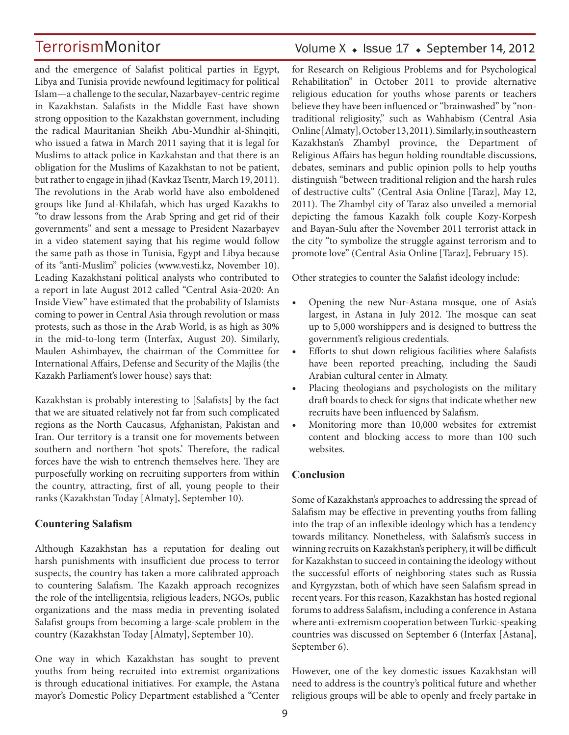and the emergence of Salafist political parties in Egypt, Libya and Tunisia provide newfound legitimacy for political Islam—a challenge to the secular, Nazarbayev-centric regime in Kazakhstan. Salafists in the Middle East have shown strong opposition to the Kazakhstan government, including the radical Mauritanian Sheikh Abu-Mundhir al-Shinqiti, who issued a fatwa in March 2011 saying that it is legal for Muslims to attack police in Kazkahstan and that there is an obligation for the Muslims of Kazakhstan to not be patient, but rather to engage in jihad (Kavkaz Tsentr, March 19, 2011). The revolutions in the Arab world have also emboldened groups like Jund al-Khilafah, which has urged Kazakhs to "to draw lessons from the Arab Spring and get rid of their governments" and sent a message to President Nazarbayev in a video statement saying that his regime would follow the same path as those in Tunisia, Egypt and Libya because of its "anti-Muslim" policies (www.vesti.kz, November 10). Leading Kazakhstani political analysts who contributed to a report in late August 2012 called "Central Asia-2020: An Inside View" have estimated that the probability of Islamists coming to power in Central Asia through revolution or mass protests, such as those in the Arab World, is as high as 30% in the mid-to-long term (Interfax, August 20). Similarly, Maulen Ashimbayev, the chairman of the Committee for International Affairs, Defense and Security of the Majlis (the Kazakh Parliament's lower house) says that:

Kazakhstan is probably interesting to [Salafists] by the fact that we are situated relatively not far from such complicated regions as the North Caucasus, Afghanistan, Pakistan and Iran. Our territory is a transit one for movements between southern and northern 'hot spots.' Therefore, the radical forces have the wish to entrench themselves here. They are purposefully working on recruiting supporters from within the country, attracting, first of all, young people to their ranks (Kazakhstan Today [Almaty], September 10).

### **Countering Salafism**

Although Kazakhstan has a reputation for dealing out harsh punishments with insufficient due process to terror suspects, the country has taken a more calibrated approach to countering Salafism. The Kazakh approach recognizes the role of the intelligentsia, religious leaders, NGOs, public organizations and the mass media in preventing isolated Salafist groups from becoming a large-scale problem in the country (Kazakhstan Today [Almaty], September 10).

One way in which Kazakhstan has sought to prevent youths from being recruited into extremist organizations is through educational initiatives. For example, the Astana mayor's Domestic Policy Department established a "Center

### Volume  $X \triangleleft$  Issue 17  $\triangleleft$  September 14, 2012

for Research on Religious Problems and for Psychological Rehabilitation" in October 2011 to provide alternative religious education for youths whose parents or teachers believe they have been influenced or "brainwashed" by "nontraditional religiosity," such as Wahhabism (Central Asia Online [Almaty], October 13, 2011). Similarly, in southeastern Kazakhstan's Zhambyl province, the Department of Religious Affairs has begun holding roundtable discussions, debates, seminars and public opinion polls to help youths distinguish "between traditional religion and the harsh rules of destructive cults" (Central Asia Online [Taraz], May 12, 2011). The Zhambyl city of Taraz also unveiled a memorial depicting the famous Kazakh folk couple Kozy-Korpesh and Bayan-Sulu after the November 2011 terrorist attack in the city "to symbolize the struggle against terrorism and to promote love" (Central Asia Online [Taraz], February 15).

Other strategies to counter the Salafist ideology include:

- Opening the new Nur-Astana mosque, one of Asia's largest, in Astana in July 2012. The mosque can seat up to 5,000 worshippers and is designed to buttress the government's religious credentials.
- Efforts to shut down religious facilities where Salafists have been reported preaching, including the Saudi Arabian cultural center in Almaty.
- Placing theologians and psychologists on the military draft boards to check for signs that indicate whether new recruits have been influenced by Salafism.
- Monitoring more than 10,000 websites for extremist content and blocking access to more than 100 such websites.

### **Conclusion**

Some of Kazakhstan's approaches to addressing the spread of Salafism may be effective in preventing youths from falling into the trap of an inflexible ideology which has a tendency towards militancy. Nonetheless, with Salafism's success in winning recruits on Kazakhstan's periphery, it will be difficult for Kazakhstan to succeed in containing the ideology without the successful efforts of neighboring states such as Russia and Kyrgyzstan, both of which have seen Salafism spread in recent years. For this reason, Kazakhstan has hosted regional forums to address Salafism, including a conference in Astana where anti-extremism cooperation between Turkic-speaking countries was discussed on September 6 (Interfax [Astana], September 6).

However, one of the key domestic issues Kazakhstan will need to address is the country's political future and whether religious groups will be able to openly and freely partake in